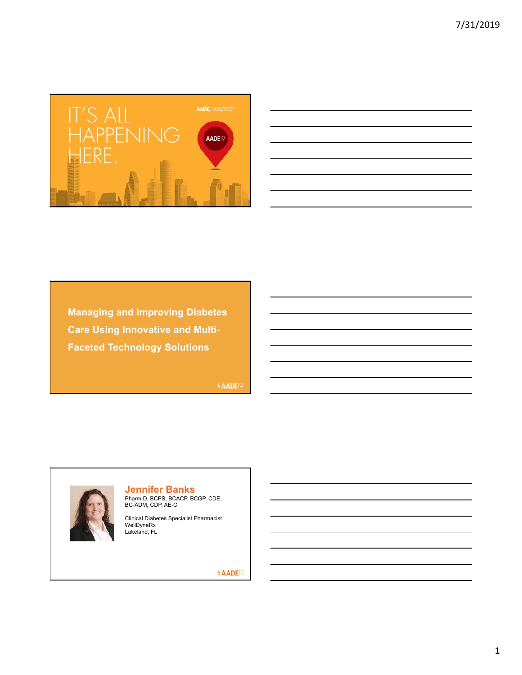

| <u> 1989 - Johann Stoff, amerikansk politiker (* 1908)</u>                                                            |  |                                                             | the control of the control        |
|-----------------------------------------------------------------------------------------------------------------------|--|-------------------------------------------------------------|-----------------------------------|
|                                                                                                                       |  |                                                             |                                   |
| <u> 1989 - Johann John Stone, markin sanadi amerikan bahasa dan berkembang di sebagai pertama dan berkembang di s</u> |  |                                                             |                                   |
|                                                                                                                       |  |                                                             | the control of the control of the |
| <u> 1989 - Johann Stoff, amerikansk politiker (d. 1989)</u>                                                           |  |                                                             |                                   |
| <u> Andreas Andrews Andrews Andrews Andrews Andrews Andrews Andrews Andrews Andrews Andrews Andrews Andrews Andr</u>  |  |                                                             |                                   |
|                                                                                                                       |  | <u> 1989 - Johann Stoff, amerikansk politiker (d. 1989)</u> |                                   |
|                                                                                                                       |  |                                                             |                                   |

**Managing and Improving Diabetes Care Using Innovative and Multi-Faceted Technology Solutions**

#AADE19



**Jennifer Banks**

Pharm.D, BCPS, BCACP, BCGP, CDE, BC-ADM, CDP, AE-C

Clinical Diabetes Specialist Pharmacist WellDyneRx Lakeland, FL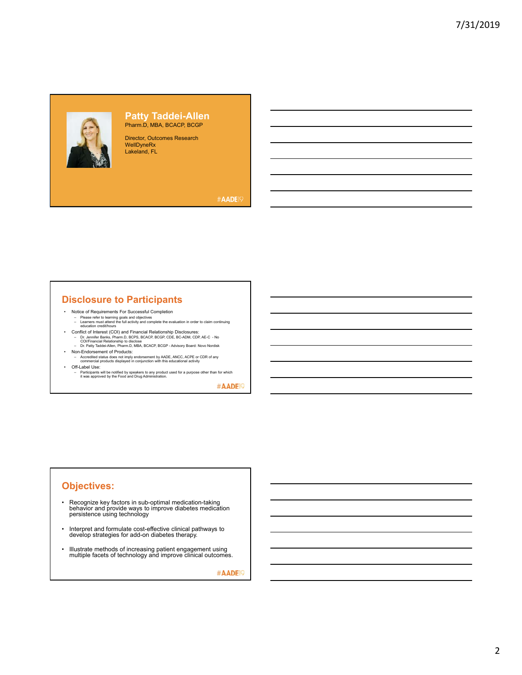

#### **Patty Taddei-Allen** Pharm.D, MBA, BCACP, BCGP

Director, Outcomes Research WellDyneRx Lakeland, FL

#AADE<sup>19</sup>

# **Disclosure to Participants**

- Notice of Requirements For Successful Completion Please refer to learning goals and objectives Learners must attend the full activity and complete the evaluation in order to claim continuing education credit/hours
- 
- Conflict of Interest (COI) and Financial Relationship Disclosures:<br>- Dr. Jennifer Banks, Pharm.D, BCPS, BCACP, BCGP, CDE, BC-ADM, CDP, AE-C No<br>- COI/Financial Relationship to disclose<br>- Dr. Patty Taddei-Allen, Pharm.D
- Non-Endorsement of Products:
- Accredited status does not imply endorsement by AADE, ANCC, ACPE or CDR of any commercial products displayed in conjunction with this educational activity • Off-Label Use:
- Participants will be notified by speakers to any product used for a purpose other than for which it was approved by the Food and Drug Administration.

#AADE<sup>19</sup>

# **Objectives:**

- Recognize key factors in sub-optimal medication-taking behavior and provide ways to improve diabetes medication persistence using technology
- Interpret and formulate cost-effective clinical pathways to develop strategies for add-on diabetes therapy.
- Illustrate methods of increasing patient engagement using multiple facets of technology and improve clinical outcomes.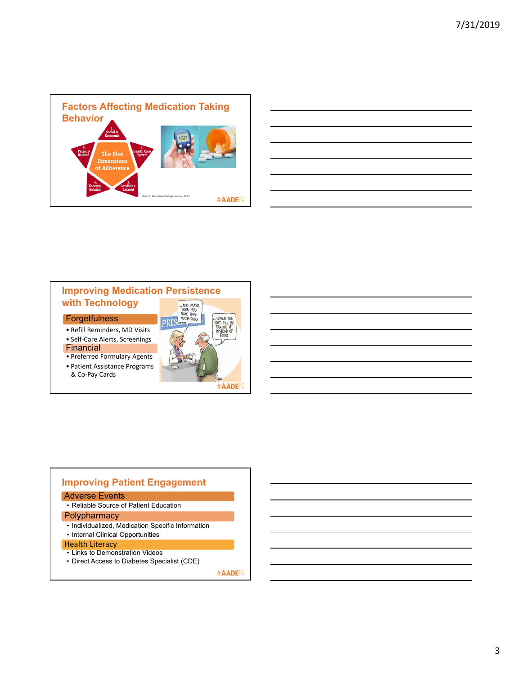

| a shekarar 1980 haqida qayta tashkil qayta tarixi baxda qayta tarixi baxda qayta tarixi baxda qayta tarixi bax         |  |  |  |
|------------------------------------------------------------------------------------------------------------------------|--|--|--|
| <u> 2000 - Andrea Andrew Maria (h. 1888).</u>                                                                          |  |  |  |
| <u> 1989 - Johann Harry Harry Harry Harry Harry Harry Harry Harry Harry Harry Harry Harry Harry Harry Harry Harry</u>  |  |  |  |
| <u> La componenta de la componenta de la componenta de la componenta de la componenta de la componenta de la compo</u> |  |  |  |
| <u> 2002 - Andrea Andrew Maria (h. 1888).</u>                                                                          |  |  |  |
| <u> 2002 - Jan Barat de Barat de la contrada de la contrada de la contrada de la contrada de la contrada de la c</u>   |  |  |  |
| <u> 1989 - Johann Stoff, deutscher Stoff, der Stoff, der Stoff, der Stoff, der Stoff, der Stoff, der Stoff, der S</u>  |  |  |  |
|                                                                                                                        |  |  |  |



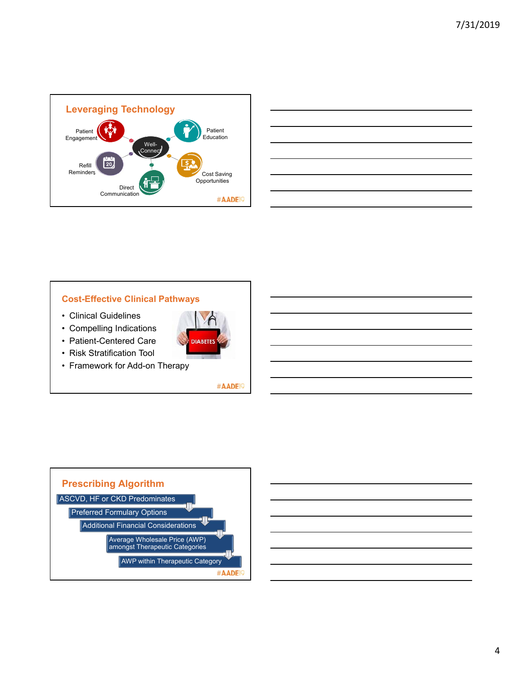

| and the control of the control of the control of the control of the control of the control of the control of the                                                                                                              |  |  |
|-------------------------------------------------------------------------------------------------------------------------------------------------------------------------------------------------------------------------------|--|--|
|                                                                                                                                                                                                                               |  |  |
| <u> 1989 - Andrea Andrew Maria (h. 1989).</u>                                                                                                                                                                                 |  |  |
| <u> 1989 - Johann Harry Harry Harry Harry Harry Harry Harry Harry Harry Harry Harry Harry Harry Harry Harry Harry</u>                                                                                                         |  |  |
| <u> Alexandro de la contrada de la contrada de la contrada de la contrada de la contrada de la contrada de la co</u>                                                                                                          |  |  |
|                                                                                                                                                                                                                               |  |  |
| <u> 1989 - Johann Stoff, amerikansk politiker (d. 1989)</u>                                                                                                                                                                   |  |  |
| the control of the control of the control of the control of the control of the control of the control of the control of the control of the control of the control of the control of the control of the control of the control |  |  |

### **Cost-Effective Clinical Pathways**

- Clinical Guidelines
- Compelling Indications
- Patient-Centered Care
- Risk Stratification Tool
- Framework for Add-on Therapy



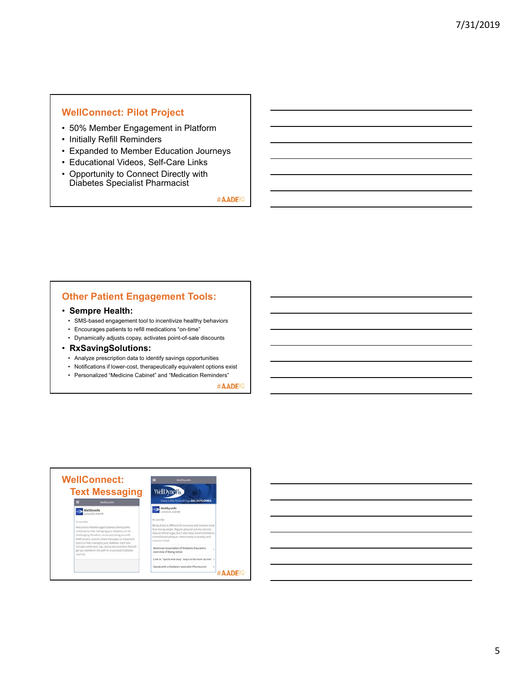### **WellConnect: Pilot Project**

- 50% Member Engagement in Platform
- Initially Refill Reminders
- Expanded to Member Education Journeys
- Educational Videos, Self-Care Links
- Opportunity to Connect Directly with Diabetes Specialist Pharmacist

#AADE<sup>19</sup>

# **Other Patient Engagement Tools:**

#### • **Sempre Health:**

- SMS-based engagement tool to incentivize healthy behaviors
- Encourages patients to refill medications "on-time"
- Dynamically adjusts copay, activates point-of-sale discounts
- **RxSavingSolutions:** 
	- Analyze prescription data to identify savings opportunities
	- Notifications if lower-cost, therapeutically equivalent options exist
	- Personalized "Medicine Cabinet" and "Medication Reminders"

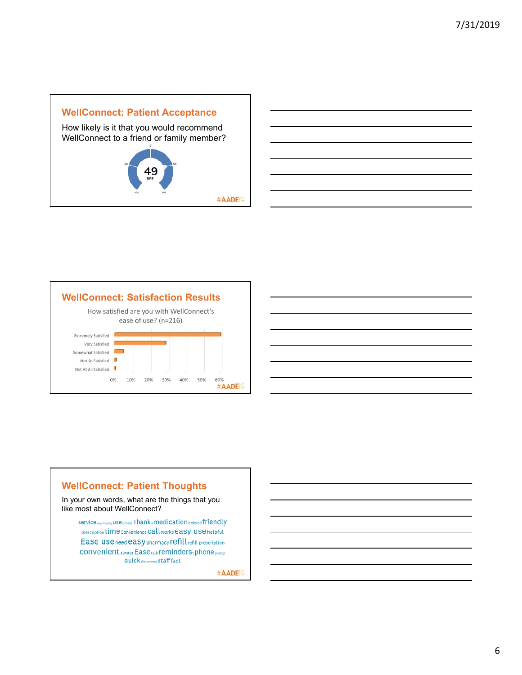



## **WellConnect: Patient Thoughts**

In your own words, what are the things that you like most about WellConnect?

service<sub>wer friendy</sub> use simple Thank & medication ordered friendly prescription time convenience Call works easy use helpful Ease use need easy pharmacy refill refill prescription CONVenient always Ease talk reminders tphone prompt quick wellconnect staff fast